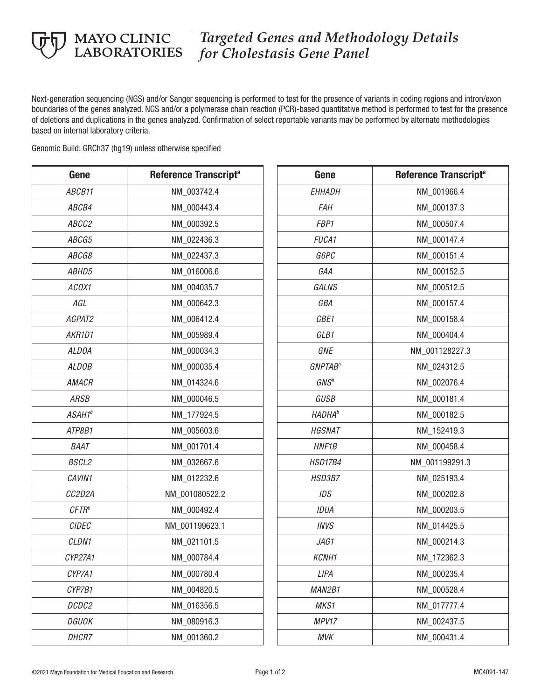

## *Targeted Genes and Methodology Details*  **MAYO CLINIC** | *Targeted Genes and Method*<br>LABORATORIES | *for Cholestasis Gene Panel*

Next-generation sequencing (NGS) and/or Sanger sequencing is performed to test for the presence of variants in coding regions and intron/exon boundaries of the genes analyzed. NGS and/or a polymerase chain reaction (PCR)-based quantitative method is performed to test for the presence of deletions and duplications in the genes analyzed. Confirmation of select reportable variants may be performed by alternate methodologies based on internal laboratory criteria.

Genomic Build: GRCh37 (hg19) unless otherwise specified

| Gene               | Reference Transcript <sup>a</sup> |  |  |  |
|--------------------|-----------------------------------|--|--|--|
| ABCB11             | NM 003742.4                       |  |  |  |
| ABCB4              | NM 000443.4                       |  |  |  |
| ABCC2              | NM 000392.5                       |  |  |  |
| ABCG5              | NM 022436.3                       |  |  |  |
| ABCG8              | NM_022437.3                       |  |  |  |
| <i>ABHD5</i>       | NM 016006.6                       |  |  |  |
| ACOX1              | NM_004035.7                       |  |  |  |
| AGL                | NM 000642.3                       |  |  |  |
| AGPAT2             | NM_006412.4                       |  |  |  |
| AKR1D1             | NM 005989.4                       |  |  |  |
| <b>ALDOA</b>       | NM_000034.3                       |  |  |  |
| <b>ALDOB</b>       | NM 000035.4                       |  |  |  |
| AMACR              | NM_014324.6                       |  |  |  |
| ARSB               | NM 000046.5                       |  |  |  |
| ASAH1 <sup>b</sup> | NM_177924.5                       |  |  |  |
| ATP8B1             | NM 005603.6                       |  |  |  |
| BAAT               | NM_001701.4                       |  |  |  |
| <b>BSCL2</b>       | NM 032667.6                       |  |  |  |
| CAVIN1             | NM_012232.6                       |  |  |  |
| CC2D2A             | NM_001080522.2                    |  |  |  |
| $CFTR^b$           | NM 000492.4                       |  |  |  |
| CIDEC              | NM 001199623.1                    |  |  |  |
| CLDN1              | NM_021101.5                       |  |  |  |
| CYP27A1            | NM 000784.4                       |  |  |  |
| CYP7A1             | NM 000780.4                       |  |  |  |
| CYP7B1             | NM 004820.5                       |  |  |  |
| DCDC2              | NM 016356.5                       |  |  |  |
| DGUOK              | NM 080916.3                       |  |  |  |
| <i>DHCR7</i>       | NM 001360.2                       |  |  |  |

| Gene                       | Reference Transcript <sup>a</sup> |  |  |  |
|----------------------------|-----------------------------------|--|--|--|
| <b>EHHADH</b>              | NM 001966.4                       |  |  |  |
| FAH                        | NM 000137.3                       |  |  |  |
| FBP1                       | NM 000507.4                       |  |  |  |
| <b>FUCA1</b>               | NM 000147.4                       |  |  |  |
| G6PC                       | NM 000151.4                       |  |  |  |
| GAA                        | NM 000152.5                       |  |  |  |
| <b>GALNS</b>               | NM 000512.5                       |  |  |  |
| GBA                        | NM 000157.4                       |  |  |  |
| GBE1                       | NM 000158.4                       |  |  |  |
| GLB1                       | NM 000404.4                       |  |  |  |
| <b>GNE</b>                 | NM_001128227.3                    |  |  |  |
| <b>GNPTAB</b> <sup>b</sup> | NM 024312.5                       |  |  |  |
| GNS <sup>b</sup>           | NM 002076.4                       |  |  |  |
| <b>GUSB</b>                | NM 000181.4                       |  |  |  |
| <b>HADHA</b> <sup>b</sup>  | NM 000182.5                       |  |  |  |
| <b>HGSNAT</b>              | NM 152419.3                       |  |  |  |
| <b>HNF1B</b>               | NM 000458.4                       |  |  |  |
| HSD17B4                    | NM 001199291.3                    |  |  |  |
| HSD3B7                     | NM_025193.4                       |  |  |  |
| <b>IDS</b>                 | NM 000202.8                       |  |  |  |
| IDUA                       | NM 000203.5                       |  |  |  |
| <b>INVS</b>                | NM 014425.5                       |  |  |  |
| JAG1                       | NM 000214.3                       |  |  |  |
| <i>KCNH1</i>               | NM_172362.3                       |  |  |  |
| LIPA                       | NM 000235.4                       |  |  |  |
| MAN2B1                     | NM 000528.4                       |  |  |  |
| MKS1                       | NM 017777.4                       |  |  |  |
| MPV17                      | NM 002437.5                       |  |  |  |
| <b>MVK</b>                 | NM 000431.4                       |  |  |  |